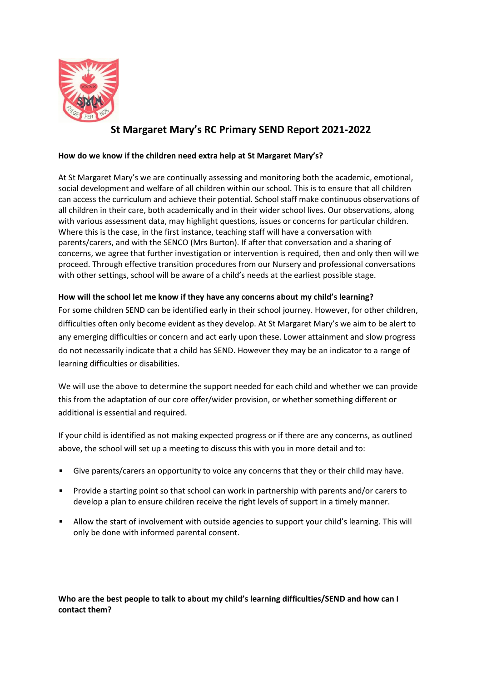

# **St Margaret Mary's RC Primary SEND Report 2021-2022**

## **How do we know if the children need extra help at St Margaret Mary's?**

At St Margaret Mary's we are continually assessing and monitoring both the academic, emotional, social development and welfare of all children within our school. This is to ensure that all children can access the curriculum and achieve their potential. School staff make continuous observations of all children in their care, both academically and in their wider school lives. Our observations, along with various assessment data, may highlight questions, issues or concerns for particular children. Where this is the case, in the first instance, teaching staff will have a conversation with parents/carers, and with the SENCO (Mrs Burton). If after that conversation and a sharing of concerns, we agree that further investigation or intervention is required, then and only then will we proceed. Through effective transition procedures from our Nursery and professional conversations with other settings, school will be aware of a child's needs at the earliest possible stage.

## **How will the school let me know if they have any concerns about my child's learning?**

For some children SEND can be identified early in their school journey. However, for other children, difficulties often only become evident as they develop. At St Margaret Mary's we aim to be alert to any emerging difficulties or concern and act early upon these. Lower attainment and slow progress do not necessarily indicate that a child has SEND. However they may be an indicator to a range of learning difficulties or disabilities.

We will use the above to determine the support needed for each child and whether we can provide this from the adaptation of our core offer/wider provision, or whether something different or additional is essential and required.

If your child is identified as not making expected progress or if there are any concerns, as outlined above, the school will set up a meeting to discuss this with you in more detail and to:

- Give parents/carers an opportunity to voice any concerns that they or their child may have.
- Provide a starting point so that school can work in partnership with parents and/or carers to develop a plan to ensure children receive the right levels of support in a timely manner.
- Allow the start of involvement with outside agencies to support your child's learning. This will only be done with informed parental consent.

**Who are the best people to talk to about my child's learning difficulties/SEND and how can I contact them?**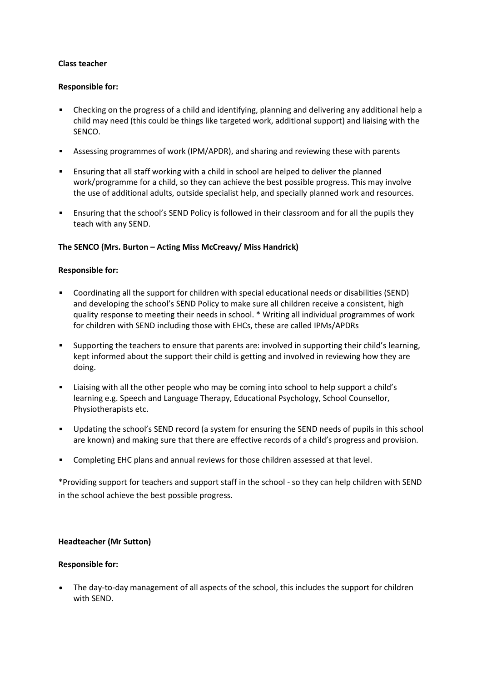## **Class teacher**

## **Responsible for:**

- Checking on the progress of a child and identifying, planning and delivering any additional help a child may need (this could be things like targeted work, additional support) and liaising with the SENCO.
- Assessing programmes of work (IPM/APDR), and sharing and reviewing these with parents
- Ensuring that all staff working with a child in school are helped to deliver the planned work/programme for a child, so they can achieve the best possible progress. This may involve the use of additional adults, outside specialist help, and specially planned work and resources.
- Ensuring that the school's SEND Policy is followed in their classroom and for all the pupils they teach with any SEND.

## **The SENCO (Mrs. Burton – Acting Miss McCreavy/ Miss Handrick)**

## **Responsible for:**

- Coordinating all the support for children with special educational needs or disabilities (SEND) and developing the school's SEND Policy to make sure all children receive a consistent, high quality response to meeting their needs in school. \* Writing all individual programmes of work for children with SEND including those with EHCs, these are called IPMs/APDRs
- Supporting the teachers to ensure that parents are: involved in supporting their child's learning, kept informed about the support their child is getting and involved in reviewing how they are doing.
- Liaising with all the other people who may be coming into school to help support a child's learning e.g. Speech and Language Therapy, Educational Psychology, School Counsellor, Physiotherapists etc.
- Updating the school's SEND record (a system for ensuring the SEND needs of pupils in this school are known) and making sure that there are effective records of a child's progress and provision.
- Completing EHC plans and annual reviews for those children assessed at that level.

\*Providing support for teachers and support staff in the school - so they can help children with SEND in the school achieve the best possible progress.

### **Headteacher (Mr Sutton)**

### **Responsible for:**

 The day-to-day management of all aspects of the school, this includes the support for children with SEND.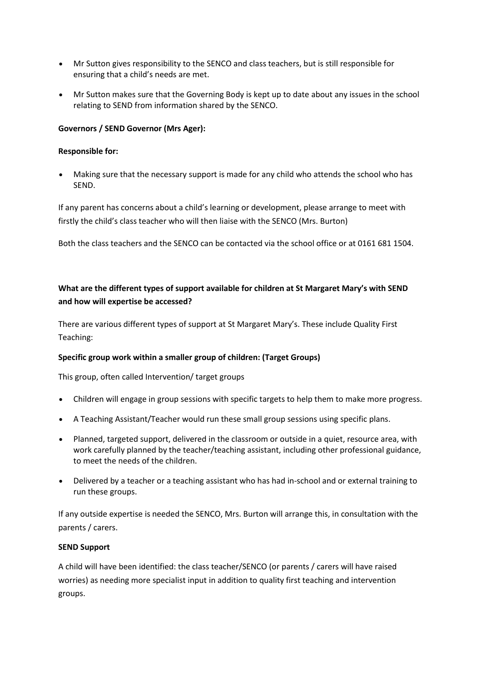- Mr Sutton gives responsibility to the SENCO and class teachers, but is still responsible for ensuring that a child's needs are met.
- Mr Sutton makes sure that the Governing Body is kept up to date about any issues in the school relating to SEND from information shared by the SENCO.

## **Governors / SEND Governor (Mrs Ager):**

## **Responsible for:**

 Making sure that the necessary support is made for any child who attends the school who has SEND.

If any parent has concerns about a child's learning or development, please arrange to meet with firstly the child's class teacher who will then liaise with the SENCO (Mrs. Burton)

Both the class teachers and the SENCO can be contacted via the school office or at 0161 681 1504.

## **What are the different types of support available for children at St Margaret Mary's with SEND and how will expertise be accessed?**

There are various different types of support at St Margaret Mary's. These include Quality First Teaching:

## **Specific group work within a smaller group of children: (Target Groups)**

This group, often called Intervention/ target groups

- Children will engage in group sessions with specific targets to help them to make more progress.
- A Teaching Assistant/Teacher would run these small group sessions using specific plans.
- Planned, targeted support, delivered in the classroom or outside in a quiet, resource area, with work carefully planned by the teacher/teaching assistant, including other professional guidance, to meet the needs of the children.
- Delivered by a teacher or a teaching assistant who has had in-school and or external training to run these groups.

If any outside expertise is needed the SENCO, Mrs. Burton will arrange this, in consultation with the parents / carers.

### **SEND Support**

A child will have been identified: the class teacher/SENCO (or parents / carers will have raised worries) as needing more specialist input in addition to quality first teaching and intervention groups.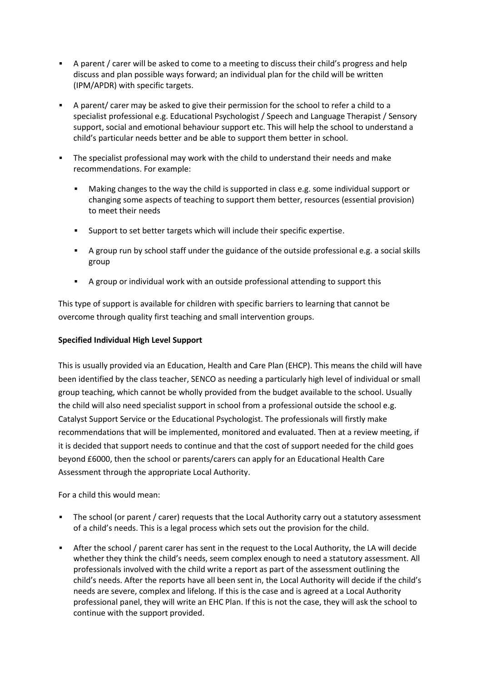- A parent / carer will be asked to come to a meeting to discuss their child's progress and help discuss and plan possible ways forward; an individual plan for the child will be written (IPM/APDR) with specific targets.
- A parent/ carer may be asked to give their permission for the school to refer a child to a specialist professional e.g. Educational Psychologist / Speech and Language Therapist / Sensory support, social and emotional behaviour support etc. This will help the school to understand a child's particular needs better and be able to support them better in school.
- The specialist professional may work with the child to understand their needs and make recommendations. For example:
	- Making changes to the way the child is supported in class e.g. some individual support or changing some aspects of teaching to support them better, resources (essential provision) to meet their needs
	- Support to set better targets which will include their specific expertise.
	- A group run by school staff under the guidance of the outside professional e.g. a social skills group
	- A group or individual work with an outside professional attending to support this

This type of support is available for children with specific barriers to learning that cannot be overcome through quality first teaching and small intervention groups.

## **Specified Individual High Level Support**

This is usually provided via an Education, Health and Care Plan (EHCP). This means the child will have been identified by the class teacher, SENCO as needing a particularly high level of individual or small group teaching, which cannot be wholly provided from the budget available to the school. Usually the child will also need specialist support in school from a professional outside the school e.g. Catalyst Support Service or the Educational Psychologist. The professionals will firstly make recommendations that will be implemented, monitored and evaluated. Then at a review meeting, if it is decided that support needs to continue and that the cost of support needed for the child goes beyond £6000, then the school or parents/carers can apply for an Educational Health Care Assessment through the appropriate Local Authority.

For a child this would mean:

- The school (or parent / carer) requests that the Local Authority carry out a statutory assessment of a child's needs. This is a legal process which sets out the provision for the child.
- After the school / parent carer has sent in the request to the Local Authority, the LA will decide whether they think the child's needs, seem complex enough to need a statutory assessment. All professionals involved with the child write a report as part of the assessment outlining the child's needs. After the reports have all been sent in, the Local Authority will decide if the child's needs are severe, complex and lifelong. If this is the case and is agreed at a Local Authority professional panel, they will write an EHC Plan. If this is not the case, they will ask the school to continue with the support provided.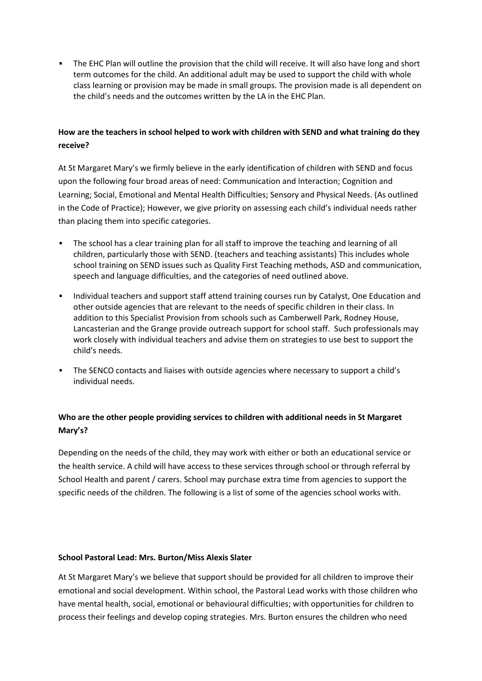The EHC Plan will outline the provision that the child will receive. It will also have long and short term outcomes for the child. An additional adult may be used to support the child with whole class learning or provision may be made in small groups. The provision made is all dependent on the child's needs and the outcomes written by the LA in the EHC Plan.

## **How are the teachers in school helped to work with children with SEND and what training do they receive?**

At St Margaret Mary's we firmly believe in the early identification of children with SEND and focus upon the following four broad areas of need: Communication and Interaction; Cognition and Learning; Social, Emotional and Mental Health Difficulties; Sensory and Physical Needs. (As outlined in the Code of Practice); However, we give priority on assessing each child's individual needs rather than placing them into specific categories.

- The school has a clear training plan for all staff to improve the teaching and learning of all children, particularly those with SEND. (teachers and teaching assistants) This includes whole school training on SEND issues such as Quality First Teaching methods, ASD and communication, speech and language difficulties, and the categories of need outlined above.
- **Individual teachers and support staff attend training courses run by Catalyst, One Education and** other outside agencies that are relevant to the needs of specific children in their class. In addition to this Specialist Provision from schools such as Camberwell Park, Rodney House, Lancasterian and the Grange provide outreach support for school staff. Such professionals may work closely with individual teachers and advise them on strategies to use best to support the child's needs.
- The SENCO contacts and liaises with outside agencies where necessary to support a child's individual needs.

## **Who are the other people providing services to children with additional needs in St Margaret Mary's?**

Depending on the needs of the child, they may work with either or both an educational service or the health service. A child will have access to these services through school or through referral by School Health and parent / carers. School may purchase extra time from agencies to support the specific needs of the children. The following is a list of some of the agencies school works with.

### **School Pastoral Lead: Mrs. Burton/Miss Alexis Slater**

At St Margaret Mary's we believe that support should be provided for all children to improve their emotional and social development. Within school, the Pastoral Lead works with those children who have mental health, social, emotional or behavioural difficulties; with opportunities for children to process their feelings and develop coping strategies. Mrs. Burton ensures the children who need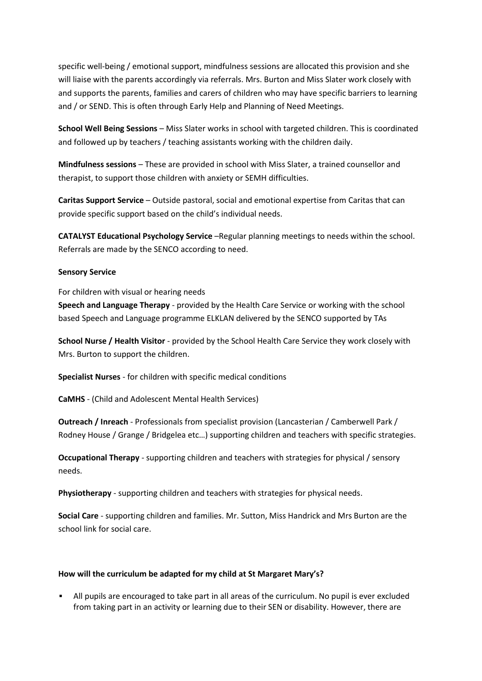specific well-being / emotional support, mindfulness sessions are allocated this provision and she will liaise with the parents accordingly via referrals. Mrs. Burton and Miss Slater work closely with and supports the parents, families and carers of children who may have specific barriers to learning and / or SEND. This is often through Early Help and Planning of Need Meetings.

**School Well Being Sessions** – Miss Slater works in school with targeted children. This is coordinated and followed up by teachers / teaching assistants working with the children daily.

**Mindfulness sessions** – These are provided in school with Miss Slater, a trained counsellor and therapist, to support those children with anxiety or SEMH difficulties.

**Caritas Support Service** – Outside pastoral, social and emotional expertise from Caritas that can provide specific support based on the child's individual needs.

**CATALYST Educational Psychology Service** –Regular planning meetings to needs within the school. Referrals are made by the SENCO according to need.

## **Sensory Service**

For children with visual or hearing needs

**Speech and Language Therapy** - provided by the Health Care Service or working with the school based Speech and Language programme ELKLAN delivered by the SENCO supported by TAs

**School Nurse / Health Visitor** - provided by the School Health Care Service they work closely with Mrs. Burton to support the children.

**Specialist Nurses** - for children with specific medical conditions

**CaMHS** - (Child and Adolescent Mental Health Services)

**Outreach / Inreach** - Professionals from specialist provision (Lancasterian / Camberwell Park / Rodney House / Grange / Bridgelea etc…) supporting children and teachers with specific strategies.

**Occupational Therapy** - supporting children and teachers with strategies for physical / sensory needs.

**Physiotherapy** - supporting children and teachers with strategies for physical needs.

**Social Care** - supporting children and families. Mr. Sutton, Miss Handrick and Mrs Burton are the school link for social care.

## **How will the curriculum be adapted for my child at St Margaret Mary's?**

 All pupils are encouraged to take part in all areas of the curriculum. No pupil is ever excluded from taking part in an activity or learning due to their SEN or disability. However, there are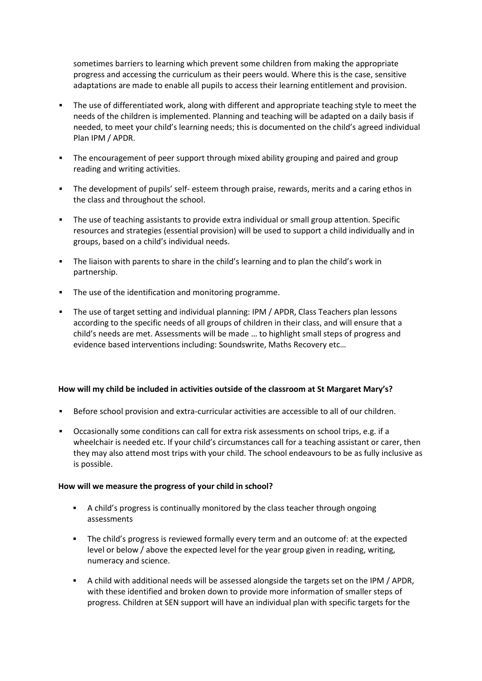sometimes barriers to learning which prevent some children from making the appropriate progress and accessing the curriculum as their peers would. Where this is the case, sensitive adaptations are made to enable all pupils to access their learning entitlement and provision.

- The use of differentiated work, along with different and appropriate teaching style to meet the needs of the children is implemented. Planning and teaching will be adapted on a daily basis if needed, to meet your child's learning needs; this is documented on the child's agreed individual Plan IPM / APDR.
- The encouragement of peer support through mixed ability grouping and paired and group reading and writing activities.
- The development of pupils' self- esteem through praise, rewards, merits and a caring ethos in the class and throughout the school.
- The use of teaching assistants to provide extra individual or small group attention. Specific resources and strategies (essential provision) will be used to support a child individually and in groups, based on a child's individual needs.
- The liaison with parents to share in the child's learning and to plan the child's work in partnership.
- The use of the identification and monitoring programme.
- The use of target setting and individual planning: IPM / APDR, Class Teachers plan lessons according to the specific needs of all groups of children in their class, and will ensure that a child's needs are met. Assessments will be made … to highlight small steps of progress and evidence based interventions including: Soundswrite, Maths Recovery etc…

## **How will my child be included in activities outside of the classroom at St Margaret Mary's?**

- Before school provision and extra-curricular activities are accessible to all of our children.
- Occasionally some conditions can call for extra risk assessments on school trips, e.g. if a wheelchair is needed etc. If your child's circumstances call for a teaching assistant or carer, then they may also attend most trips with your child. The school endeavours to be as fully inclusive as is possible.

### **How will we measure the progress of your child in school?**

- A child's progress is continually monitored by the class teacher through ongoing assessments
- The child's progress is reviewed formally every term and an outcome of: at the expected level or below / above the expected level for the year group given in reading, writing, numeracy and science.
- A child with additional needs will be assessed alongside the targets set on the IPM / APDR, with these identified and broken down to provide more information of smaller steps of progress. Children at SEN support will have an individual plan with specific targets for the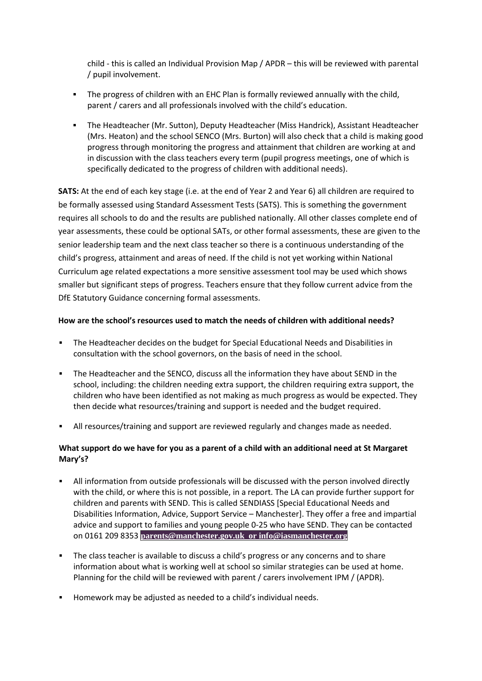child - this is called an Individual Provision Map / APDR – this will be reviewed with parental / pupil involvement.

- The progress of children with an EHC Plan is formally reviewed annually with the child, parent / carers and all professionals involved with the child's education.
- The Headteacher (Mr. Sutton), Deputy Headteacher (Miss Handrick), Assistant Headteacher (Mrs. Heaton) and the school SENCO (Mrs. Burton) will also check that a child is making good progress through monitoring the progress and attainment that children are working at and in discussion with the class teachers every term (pupil progress meetings, one of which is specifically dedicated to the progress of children with additional needs).

**SATS:** At the end of each key stage (i.e. at the end of Year 2 and Year 6) all children are required to be formally assessed using Standard Assessment Tests (SATS). This is something the government requires all schools to do and the results are published nationally. All other classes complete end of year assessments, these could be optional SATs, or other formal assessments, these are given to the senior leadership team and the next class teacher so there is a continuous understanding of the child's progress, attainment and areas of need. If the child is not yet working within National Curriculum age related expectations a more sensitive assessment tool may be used which shows smaller but significant steps of progress. Teachers ensure that they follow current advice from the DfE Statutory Guidance concerning formal assessments.

## **How are the school's resources used to match the needs of children with additional needs?**

- The Headteacher decides on the budget for Special Educational Needs and Disabilities in consultation with the school governors, on the basis of need in the school.
- The Headteacher and the SENCO, discuss all the information they have about SEND in the school, including: the children needing extra support, the children requiring extra support, the children who have been identified as not making as much progress as would be expected. They then decide what resources/training and support is needed and the budget required.
- All resources/training and support are reviewed regularly and changes made as needed.

## **What support do we have for you as a parent of a child with an additional need at St Margaret Mary's?**

- All information from outside professionals will be discussed with the person involved directly with the child, or where this is not possible, in a report. The LA can provide further support for children and parents with SEND. This is called SENDIASS [Special Educational Needs and Disabilities Information, Advice, Support Service – Manchester]. They offer a free and impartial advice and support to families and young people 0-25 who have SEND. They can be contacted on 0161 209 8353 **parents@manchester.gov.uk or [info@iasmanchester.org](https://www.iasmanchester.org/site/28303aa1/?preview=true&nee=true&showOriginal=true&dm_checkSync=1&dm_try_mode=true&dm_device=desktop)**
- The class teacher is available to discuss a child's progress or any concerns and to share information about what is working well at school so similar strategies can be used at home. Planning for the child will be reviewed with parent / carers involvement IPM / (APDR).
- Homework may be adjusted as needed to a child's individual needs.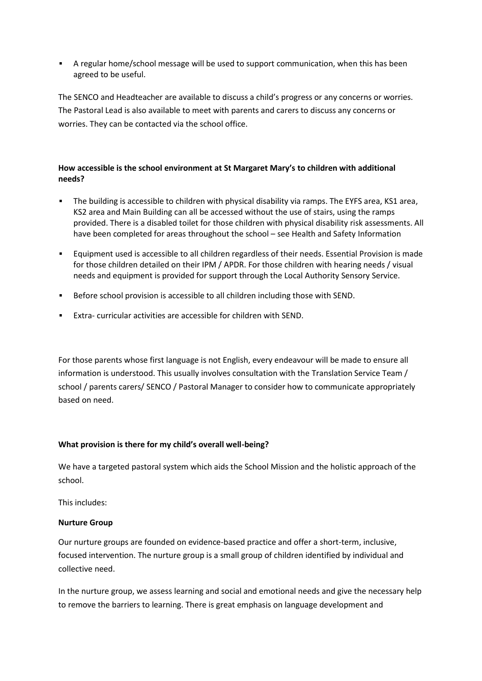A regular home/school message will be used to support communication, when this has been agreed to be useful.

The SENCO and Headteacher are available to discuss a child's progress or any concerns or worries. The Pastoral Lead is also available to meet with parents and carers to discuss any concerns or worries. They can be contacted via the school office.

## **How accessible is the school environment at St Margaret Mary's to children with additional needs?**

- The building is accessible to children with physical disability via ramps. The EYFS area, KS1 area, KS2 area and Main Building can all be accessed without the use of stairs, using the ramps provided. There is a disabled toilet for those children with physical disability risk assessments. All have been completed for areas throughout the school – see Health and Safety Information
- Equipment used is accessible to all children regardless of their needs. Essential Provision is made for those children detailed on their IPM / APDR. For those children with hearing needs / visual needs and equipment is provided for support through the Local Authority Sensory Service.
- Before school provision is accessible to all children including those with SEND.
- Extra- curricular activities are accessible for children with SEND.

For those parents whose first language is not English, every endeavour will be made to ensure all information is understood. This usually involves consultation with the Translation Service Team / school / parents carers/ SENCO / Pastoral Manager to consider how to communicate appropriately based on need.

### **What provision is there for my child's overall well-being?**

We have a targeted pastoral system which aids the School Mission and the holistic approach of the school.

This includes:

### **Nurture Group**

Our nurture groups are founded on evidence-based practice and offer a short-term, inclusive, focused intervention. The nurture group is a small group of children identified by individual and collective need.

In the nurture group, we assess learning and social and emotional needs and give the necessary help to remove the barriers to learning. There is great emphasis on language development and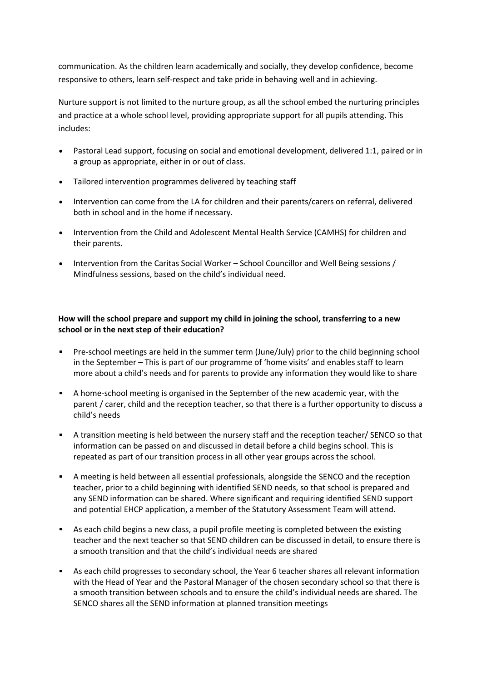communication. As the children learn academically and socially, they develop confidence, become responsive to others, learn self-respect and take pride in behaving well and in achieving.

Nurture support is not limited to the nurture group, as all the school embed the nurturing principles and practice at a whole school level, providing appropriate support for all pupils attending. This includes:

- Pastoral Lead support, focusing on social and emotional development, delivered 1:1, paired or in a group as appropriate, either in or out of class.
- Tailored intervention programmes delivered by teaching staff
- Intervention can come from the LA for children and their parents/carers on referral, delivered both in school and in the home if necessary.
- Intervention from the Child and Adolescent Mental Health Service (CAMHS) for children and their parents.
- Intervention from the Caritas Social Worker School Councillor and Well Being sessions / Mindfulness sessions, based on the child's individual need.

## **How will the school prepare and support my child in joining the school, transferring to a new school or in the next step of their education?**

- Pre-school meetings are held in the summer term (June/July) prior to the child beginning school in the September – This is part of our programme of 'home visits' and enables staff to learn more about a child's needs and for parents to provide any information they would like to share
- A home-school meeting is organised in the September of the new academic year, with the parent / carer, child and the reception teacher, so that there is a further opportunity to discuss a child's needs
- A transition meeting is held between the nursery staff and the reception teacher/ SENCO so that information can be passed on and discussed in detail before a child begins school. This is repeated as part of our transition process in all other year groups across the school.
- A meeting is held between all essential professionals, alongside the SENCO and the reception teacher, prior to a child beginning with identified SEND needs, so that school is prepared and any SEND information can be shared. Where significant and requiring identified SEND support and potential EHCP application, a member of the Statutory Assessment Team will attend.
- As each child begins a new class, a pupil profile meeting is completed between the existing teacher and the next teacher so that SEND children can be discussed in detail, to ensure there is a smooth transition and that the child's individual needs are shared
- As each child progresses to secondary school, the Year 6 teacher shares all relevant information with the Head of Year and the Pastoral Manager of the chosen secondary school so that there is a smooth transition between schools and to ensure the child's individual needs are shared. The SENCO shares all the SEND information at planned transition meetings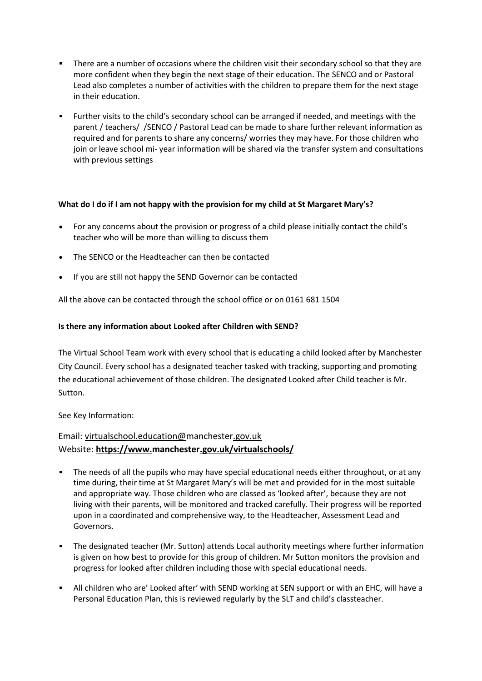- There are a number of occasions where the children visit their secondary school so that they are more confident when they begin the next stage of their education. The SENCO and or Pastoral Lead also completes a number of activities with the children to prepare them for the next stage in their education.
- Further visits to the child's secondary school can be arranged if needed, and meetings with the parent / teachers/ /SENCO / Pastoral Lead can be made to share further relevant information as required and for parents to share any concerns/ worries they may have. For those children who join or leave school mi- year information will be shared via the transfer system and consultations with previous settings

## **What do I do if I am not happy with the provision for my child at St Margaret Mary's?**

- For any concerns about the provision or progress of a child please initially contact the child's teacher who will be more than willing to discuss them
- The SENCO or the Headteacher can then be contacted
- If you are still not happy the SEND Governor can be contacted

All the above can be contacted through the school office or on 0161 681 1504

## **Is there any information about Looked after Children with SEND?**

The Virtual School Team work with every school that is educating a child looked after by Manchester City Council. Every school has a designated teacher tasked with tracking, supporting and promoting the educational achievement of those children. The designated Looked after Child teacher is Mr. Sutton.

See Key Information:

## Email: [virtualschool.education@manchester.gov.uk](mailto:virtualschool.education@manchester.gov.uk) Website: **<https://www.manchester.gov.uk/virtualschools/>**

- The needs of all the pupils who may have special educational needs either throughout, or at any time during, their time at St Margaret Mary's will be met and provided for in the most suitable and appropriate way. Those children who are classed as 'looked after', because they are not living with their parents, will be monitored and tracked carefully. Their progress will be reported upon in a coordinated and comprehensive way, to the Headteacher, Assessment Lead and Governors.
- The designated teacher (Mr. Sutton) attends Local authority meetings where further information is given on how best to provide for this group of children. Mr Sutton monitors the provision and progress for looked after children including those with special educational needs.
- All children who are' Looked after' with SEND working at SEN support or with an EHC, will have a Personal Education Plan, this is reviewed regularly by the SLT and child's classteacher.